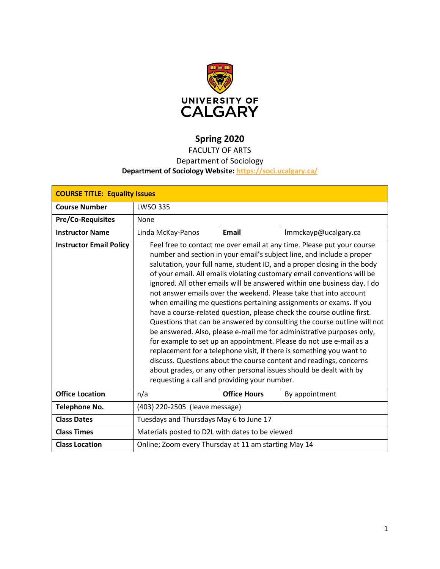

# **Spring 2020**

# FACULTY OF ARTS

## Department of Sociology

### **Department of Sociology Website:<https://soci.ucalgary.ca/>**

| <b>COURSE TITLE: Equality Issues</b> |                                                                                                                                                                                                                                                                                                                                                                                                                                                                                                                                                                                                                                                                                                                                                                                                                                                                                                                                                                                                                                                                                                         |                     |                      |  |  |
|--------------------------------------|---------------------------------------------------------------------------------------------------------------------------------------------------------------------------------------------------------------------------------------------------------------------------------------------------------------------------------------------------------------------------------------------------------------------------------------------------------------------------------------------------------------------------------------------------------------------------------------------------------------------------------------------------------------------------------------------------------------------------------------------------------------------------------------------------------------------------------------------------------------------------------------------------------------------------------------------------------------------------------------------------------------------------------------------------------------------------------------------------------|---------------------|----------------------|--|--|
| <b>Course Number</b>                 | <b>LWSO 335</b>                                                                                                                                                                                                                                                                                                                                                                                                                                                                                                                                                                                                                                                                                                                                                                                                                                                                                                                                                                                                                                                                                         |                     |                      |  |  |
| <b>Pre/Co-Requisites</b>             | None                                                                                                                                                                                                                                                                                                                                                                                                                                                                                                                                                                                                                                                                                                                                                                                                                                                                                                                                                                                                                                                                                                    |                     |                      |  |  |
| <b>Instructor Name</b>               | Linda McKay-Panos                                                                                                                                                                                                                                                                                                                                                                                                                                                                                                                                                                                                                                                                                                                                                                                                                                                                                                                                                                                                                                                                                       | <b>Email</b>        | Immckayp@ucalgary.ca |  |  |
| <b>Instructor Email Policy</b>       | Feel free to contact me over email at any time. Please put your course<br>number and section in your email's subject line, and include a proper<br>salutation, your full name, student ID, and a proper closing in the body<br>of your email. All emails violating customary email conventions will be<br>ignored. All other emails will be answered within one business day. I do<br>not answer emails over the weekend. Please take that into account<br>when emailing me questions pertaining assignments or exams. If you<br>have a course-related question, please check the course outline first.<br>Questions that can be answered by consulting the course outline will not<br>be answered. Also, please e-mail me for administrative purposes only,<br>for example to set up an appointment. Please do not use e-mail as a<br>replacement for a telephone visit, if there is something you want to<br>discuss. Questions about the course content and readings, concerns<br>about grades, or any other personal issues should be dealt with by<br>requesting a call and providing your number. |                     |                      |  |  |
| <b>Office Location</b>               | n/a                                                                                                                                                                                                                                                                                                                                                                                                                                                                                                                                                                                                                                                                                                                                                                                                                                                                                                                                                                                                                                                                                                     | <b>Office Hours</b> | By appointment       |  |  |
| <b>Telephone No.</b>                 | (403) 220-2505 (leave message)                                                                                                                                                                                                                                                                                                                                                                                                                                                                                                                                                                                                                                                                                                                                                                                                                                                                                                                                                                                                                                                                          |                     |                      |  |  |
| <b>Class Dates</b>                   | Tuesdays and Thursdays May 6 to June 17                                                                                                                                                                                                                                                                                                                                                                                                                                                                                                                                                                                                                                                                                                                                                                                                                                                                                                                                                                                                                                                                 |                     |                      |  |  |
| <b>Class Times</b>                   | Materials posted to D2L with dates to be viewed                                                                                                                                                                                                                                                                                                                                                                                                                                                                                                                                                                                                                                                                                                                                                                                                                                                                                                                                                                                                                                                         |                     |                      |  |  |
| <b>Class Location</b>                | Online; Zoom every Thursday at 11 am starting May 14                                                                                                                                                                                                                                                                                                                                                                                                                                                                                                                                                                                                                                                                                                                                                                                                                                                                                                                                                                                                                                                    |                     |                      |  |  |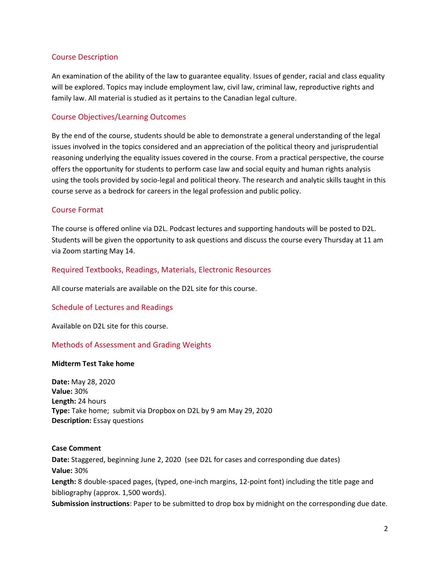### Course Description

An examination of the ability of the law to guarantee equality. Issues of gender, racial and class equality will be explored. Topics may include employment law, civil law, criminal law, reproductive rights and family law. All material is studied as it pertains to the Canadian legal culture.

### Course Objectives/Learning Outcomes

By the end of the course, students should be able to demonstrate a general understanding of the legal issues involved in the topics considered and an appreciation of the political theory and jurisprudential reasoning underlying the equality issues covered in the course. From a practical perspective, the course offers the opportunity for students to perform case law and social equity and human rights analysis using the tools provided by socio-legal and political theory. The research and analytic skills taught in this course serve as a bedrock for careers in the legal profession and public policy.

### Course Format

The course is offered online via D2L. Podcast lectures and supporting handouts will be posted to D2L. Students will be given the opportunity to ask questions and discuss the course every Thursday at 11 am via Zoom starting May 14.

### Required Textbooks, Readings, Materials, Electronic Resources

All course materials are available on the D2L site for this course.

### Schedule of Lectures and Readings

Available on D2L site for this course.

### Methods of Assessment and Grading Weights

#### **Midterm Test Take home**

**Date:** May 28, 2020 **Value:** 30% **Length:** 24 hours **Type:** Take home; submit via Dropbox on D2L by 9 am May 29, 2020 **Description:** Essay questions

#### **Case Comment**

**Date:** Staggered, beginning June 2, 2020 (see D2L for cases and corresponding due dates) **Value:** 30%

**Length:** 8 double-spaced pages, (typed, one-inch margins, 12-point font) including the title page and bibliography (approx. 1,500 words).

**Submission instructions**: Paper to be submitted to drop box by midnight on the corresponding due date.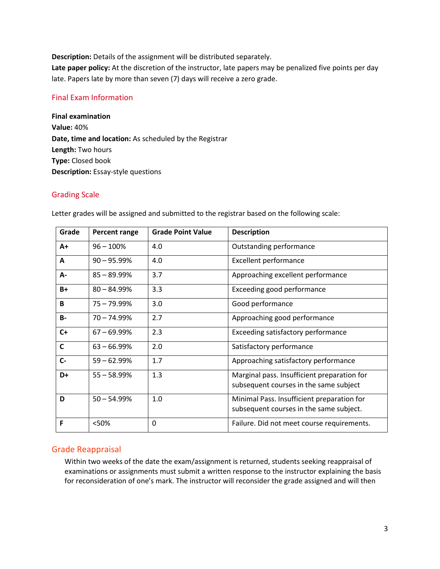**Description:** Details of the assignment will be distributed separately.

**Late paper policy:** At the discretion of the instructor, late papers may be penalized five points per day late. Papers late by more than seven (7) days will receive a zero grade.

### Final Exam Information

**Final examination Value:** 40% **Date, time and location:** As scheduled by the Registrar **Length:** Two hours **Type:** Closed book **Description:** Essay-style questions

#### Grading Scale

| Grade        | Percent range  | <b>Grade Point Value</b> | <b>Description</b>                                                                    |
|--------------|----------------|--------------------------|---------------------------------------------------------------------------------------|
| $A+$         | $96 - 100%$    | 4.0                      | Outstanding performance                                                               |
| A            | $90 - 95.99\%$ | 4.0                      | <b>Excellent performance</b>                                                          |
| А-           | $85 - 89.99%$  | 3.7                      | Approaching excellent performance                                                     |
| $B+$         | $80 - 84.99%$  | 3.3                      | Exceeding good performance                                                            |
| B            | 75 - 79.99%    | 3.0                      | Good performance                                                                      |
| <b>B-</b>    | $70 - 74.99%$  | 2.7                      | Approaching good performance                                                          |
| $C+$         | $67 - 69.99\%$ | 2.3                      | Exceeding satisfactory performance                                                    |
| $\mathsf{C}$ | $63 - 66.99%$  | 2.0                      | Satisfactory performance                                                              |
| $C -$        | $59 - 62.99%$  | 1.7                      | Approaching satisfactory performance                                                  |
| D+           | $55 - 58.99%$  | 1.3                      | Marginal pass. Insufficient preparation for<br>subsequent courses in the same subject |
| D            | $50 - 54.99%$  | 1.0                      | Minimal Pass. Insufficient preparation for<br>subsequent courses in the same subject. |
| F            | <50%           | 0                        | Failure. Did not meet course requirements.                                            |

Letter grades will be assigned and submitted to the registrar based on the following scale:

### Grade Reappraisal

Within two weeks of the date the exam/assignment is returned, students seeking reappraisal of examinations or assignments must submit a written response to the instructor explaining the basis for reconsideration of one's mark. The instructor will reconsider the grade assigned and will then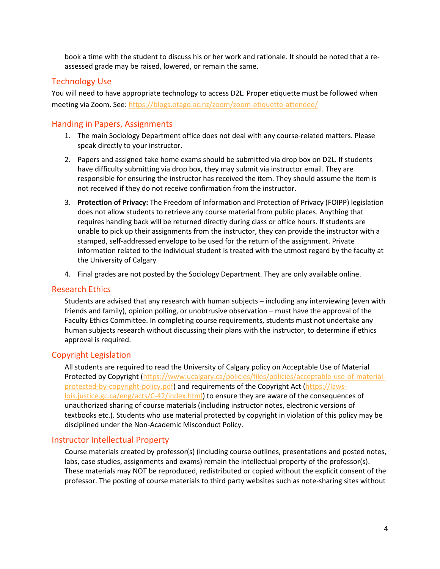book a time with the student to discuss his or her work and rationale. It should be noted that a reassessed grade may be raised, lowered, or remain the same.

### Technology Use

You will need to have appropriate technology to access D2L. Proper etiquette must be followed when meeting via Zoom. See:<https://blogs.otago.ac.nz/zoom/zoom-etiquette-attendee/>

### Handing in Papers, Assignments

- 1. The main Sociology Department office does not deal with any course-related matters. Please speak directly to your instructor.
- 2. Papers and assigned take home exams should be submitted via drop box on D2L. If students have difficulty submitting via drop box, they may submit via instructor email. They are responsible for ensuring the instructor has received the item. They should assume the item is not received if they do not receive confirmation from the instructor.
- 3. **Protection of Privacy:** The Freedom of Information and Protection of Privacy (FOIPP) legislation does not allow students to retrieve any course material from public places. Anything that requires handing back will be returned directly during class or office hours. If students are unable to pick up their assignments from the instructor, they can provide the instructor with a stamped, self-addressed envelope to be used for the return of the assignment. Private information related to the individual student is treated with the utmost regard by the faculty at the University of Calgary
- 4. Final grades are not posted by the Sociology Department. They are only available online.

### Research Ethics

Students are advised that any research with human subjects – including any interviewing (even with friends and family), opinion polling, or unobtrusive observation – must have the approval of the Faculty Ethics Committee. In completing course requirements, students must not undertake any human subjects research without discussing their plans with the instructor, to determine if ethics approval is required.

### Copyright Legislation

All students are required to read the University of Calgary policy on Acceptable Use of Material Protected by Copyright [\(https://www.ucalgary.ca/policies/files/policies/acceptable-use-of-material](https://www.ucalgary.ca/policies/files/policies/acceptable-use-of-material-protected-by-copyright-policy.pdf)[protected-by-copyright-policy.pdf\)](https://www.ucalgary.ca/policies/files/policies/acceptable-use-of-material-protected-by-copyright-policy.pdf) and requirements of the Copyright Act [\(https://laws](https://laws-lois.justice.gc.ca/eng/acts/C-42/index.html)[lois.justice.gc.ca/eng/acts/C-42/index.html\)](https://laws-lois.justice.gc.ca/eng/acts/C-42/index.html) to ensure they are aware of the consequences of unauthorized sharing of course materials (including instructor notes, electronic versions of textbooks etc.). Students who use material protected by copyright in violation of this policy may be disciplined under the Non-Academic Misconduct Policy.

### Instructor Intellectual Property

Course materials created by professor(s) (including course outlines, presentations and posted notes, labs, case studies, assignments and exams) remain the intellectual property of the professor(s). These materials may NOT be reproduced, redistributed or copied without the explicit consent of the professor. The posting of course materials to third party websites such as note-sharing sites without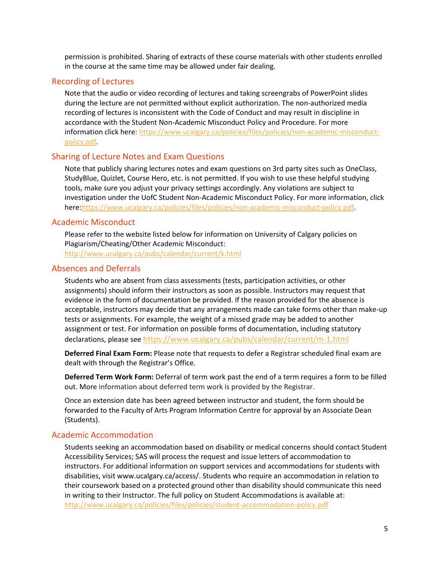permission is prohibited. Sharing of extracts of these course materials with other students enrolled in the course at the same time may be allowed under fair dealing.

#### Recording of Lectures

Note that the audio or video recording of lectures and taking screengrabs of PowerPoint slides during the lecture are not permitted without explicit authorization. The non-authorized media recording of lectures is inconsistent with the Code of Conduct and may result in discipline in accordance with the Student Non-Academic Misconduct Policy and Procedure. For more information click here: [https://www.ucalgary.ca/policies/files/policies/non-academic-misconduct](https://www.ucalgary.ca/policies/files/policies/non-academic-misconduct-policy.pdf)[policy.pdf.](https://www.ucalgary.ca/policies/files/policies/non-academic-misconduct-policy.pdf)

### Sharing of Lecture Notes and Exam Questions

Note that publicly sharing lectures notes and exam questions on 3rd party sites such as OneClass, StudyBlue, Quizlet, Course Hero, etc. is not permitted. If you wish to use these helpful studying tools, make sure you adjust your privacy settings accordingly. Any violations are subject to investigation under the UofC Student Non-Academic Misconduct Policy. For more information, click here[:https://www.ucalgary.ca/policies/files/policies/non-academic-misconduct-policy.pdf.](https://www.ucalgary.ca/policies/files/policies/non-academic-misconduct-policy.pdf)

### Academic Misconduct

Please refer to the website listed below for information on University of Calgary policies on Plagiarism/Cheating/Other Academic Misconduct:

<http://www.ucalgary.ca/pubs/calendar/current/k.html>

### Absences and Deferrals

Students who are absent from class assessments (tests, participation activities, or other assignments) should inform their instructors as soon as possible. Instructors may request that evidence in the form of documentation be provided. If the reason provided for the absence is acceptable, instructors may decide that any arrangements made can take forms other than make-up tests or assignments. For example, the weight of a missed grade may be added to another assignment or test. For information on possible forms of documentation, including statutory declarations, please see <https://www.ucalgary.ca/pubs/calendar/current/m-1.html>

**Deferred Final Exam Form:** Please note that requests to defer a Registrar scheduled final exam are dealt with through the Registrar's Office.

**Deferred Term Work Form:** Deferral of term work past the end of a term requires a form to be filled out. More information about deferred term work is provided by the Registrar.

Once an extension date has been agreed between instructor and student, the form should be forwarded to the Faculty of Arts Program Information Centre for approval by an Associate Dean (Students).

#### Academic Accommodation

Students seeking an accommodation based on disability or medical concerns should contact Student Accessibility Services; SAS will process the request and issue letters of accommodation to instructors. For additional information on support services and accommodations for students with disabilities, visit www.ucalgary.ca/access/. Students who require an accommodation in relation to their coursework based on a protected ground other than disability should communicate this need in writing to their Instructor. The full policy on Student Accommodations is available at: <http://www.ucalgary.ca/policies/files/policies/student-accommodation-policy.pdf>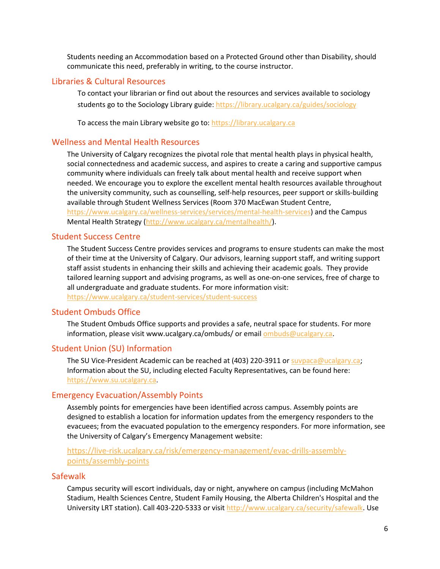Students needing an Accommodation based on a Protected Ground other than Disability, should communicate this need, preferably in writing, to the course instructor.

#### Libraries & Cultural Resources

To contact your librarian or find out about the resources and services available to sociology students go to the Sociology Library guide[: https://library.ucalgary.ca/guides/sociology](https://library.ucalgary.ca/guides/sociology)

To access the main Library website go to: [https://library.ucalgary.ca](https://library.ucalgary.ca/)

### Wellness and Mental Health Resources

The University of Calgary recognizes the pivotal role that mental health plays in physical health, social connectedness and academic success, and aspires to create a caring and supportive campus community where individuals can freely talk about mental health and receive support when needed. We encourage you to explore the excellent mental health resources available throughout the university community, such as counselling, self-help resources, peer support or skills-building available through Student Wellness Services (Room 370 MacEwan Student Centre, [https://www.ucalgary.ca/wellness-services/services/mental-health-services\)](https://www.ucalgary.ca/wellness-services/services/mental-health-services) and the Campus Mental Health Strategy [\(http://www.ucalgary.ca/mentalhealth/\)](http://www.ucalgary.ca/mentalhealth/).

#### Student Success Centre

The Student Success Centre provides services and programs to ensure students can make the most of their time at the University of Calgary. Our advisors, learning support staff, and writing support staff assist students in enhancing their skills and achieving their academic goals. They provide tailored learning support and advising programs, as well as one-on-one services, free of charge to all undergraduate and graduate students. For more information visit: <https://www.ucalgary.ca/student-services/student-success>

#### Student Ombuds Office

The Student Ombuds Office supports and provides a safe, neutral space for students. For more information, please visit www.ucalgary.ca/ombuds/ or email **ombuds@ucalgary.ca**.

#### Student Union (SU) Information

The SU Vice-President Academic can be reached at (403) 220-3911 or [suvpaca@ucalgary.ca;](file://trifs1.uc.ucalgary.ca/SOCI/Admin/07_Course%20Outlines/suvpaca@ucalgary.ca) Information about the SU, including elected Faculty Representatives, can be found here: [https://www.su.ucalgary.ca.](https://www.su.ucalgary.ca/)

#### Emergency Evacuation/Assembly Points

Assembly points for emergencies have been identified across campus. Assembly points are designed to establish a location for information updates from the emergency responders to the evacuees; from the evacuated population to the emergency responders. For more information, see the University of Calgary's Emergency Management website:

### [https://live-risk.ucalgary.ca/risk/emergency-management/evac-drills-assembly](https://live-risk.ucalgary.ca/risk/emergency-management/evac-drills-assembly-points/assembly-points)[points/assembly-points](https://live-risk.ucalgary.ca/risk/emergency-management/evac-drills-assembly-points/assembly-points)

#### **Safewalk**

Campus security will escort individuals, day or night, anywhere on campus (including McMahon Stadium, Health Sciences Centre, Student Family Housing, the Alberta Children's Hospital and the University LRT station). Call 403-220-5333 or visit [http://www.ucalgary.ca/security/safewalk.](http://www.ucalgary.ca/security/safewalk) Use